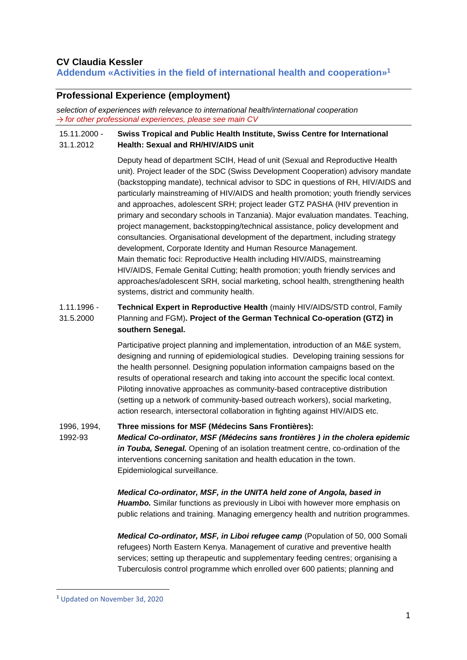## **CV Claudia Kessler**

**Addendum «Activities in the field of international health and cooperation» 1**

## **Professional Experience (employment)**

*selection of experiences with relevance to international health/international cooperation → for other professional experiences, please see main CV*

#### 15.11.2000 - 31.1.2012 **Swiss Tropical and Public Health Institute, Swiss Centre for International Health: Sexual and RH/HIV/AIDS unit**

Deputy head of department SCIH, Head of unit (Sexual and Reproductive Health unit). Project leader of the SDC (Swiss Development Cooperation) advisory mandate (backstopping mandate), technical advisor to SDC in questions of RH, HIV/AIDS and particularly mainstreaming of HIV/AIDS and health promotion; youth friendly services and approaches, adolescent SRH; project leader GTZ PASHA (HIV prevention in primary and secondary schools in Tanzania). Major evaluation mandates. Teaching, project management, backstopping/technical assistance, policy development and consultancies. Organisational development of the department, including strategy development, Corporate Identity and Human Resource Management. Main thematic foci: Reproductive Health including HIV/AIDS, mainstreaming HIV/AIDS, Female Genital Cutting; health promotion; youth friendly services and approaches/adolescent SRH, social marketing, school health, strengthening health systems, district and community health.

### 1.11.1996 - 31.5.2000 **Technical Expert in Reproductive Health** (mainly HIV/AIDS/STD control, Family Planning and FGM)**. Project of the German Technical Co-operation (GTZ) in southern Senegal.**

Participative project planning and implementation, introduction of an M&E system, designing and running of epidemiological studies. Developing training sessions for the health personnel. Designing population information campaigns based on the results of operational research and taking into account the specific local context. Piloting innovative approaches as community-based contraceptive distribution (setting up a network of community-based outreach workers), social marketing, action research, intersectoral collaboration in fighting against HIV/AIDS etc.

1996, 1994, 1992-93 **Three missions for MSF (Médecins Sans Frontières):** *Medical Co-ordinator, MSF (Médecins sans frontières ) in the cholera epidemic in Touba, Senegal.* Opening of an isolation treatment centre, co-ordination of the interventions concerning sanitation and health education in the town. Epidemiological surveillance.

> *Medical Co-ordinator, MSF, in the UNITA held zone of Angola, based in Huambo.* Similar functions as previously in Liboi with however more emphasis on public relations and training. Managing emergency health and nutrition programmes.

> *Medical Co-ordinator, MSF, in Liboi refugee camp (Population of 50, 000 Somali* refugees) North Eastern Kenya. Management of curative and preventive health services; setting up therapeutic and supplementary feeding centres; organising a Tuberculosis control programme which enrolled over 600 patients; planning and

<sup>1</sup> Updated on November 3d, 2020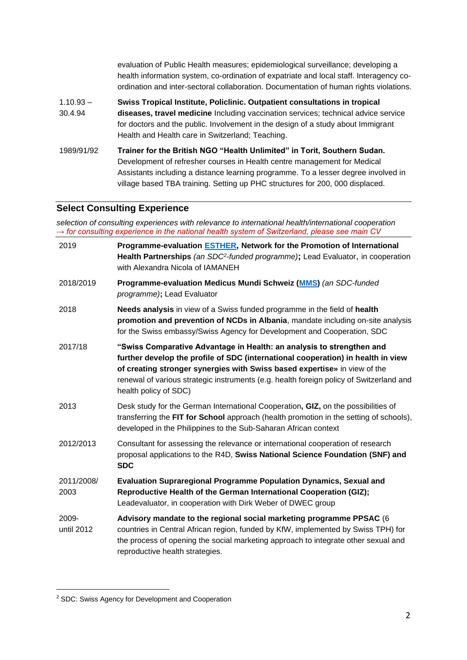|                        | evaluation of Public Health measures; epidemiological surveillance; developing a<br>health information system, co-ordination of expatriate and local staff. Interagency co-<br>ordination and inter-sectoral collaboration. Documentation of human rights violations.                                                       |
|------------------------|-----------------------------------------------------------------------------------------------------------------------------------------------------------------------------------------------------------------------------------------------------------------------------------------------------------------------------|
| $1.10.93 -$<br>30.4.94 | Swiss Tropical Institute, Policlinic. Outpatient consultations in tropical<br>diseases, travel medicine Including vaccination services; technical advice service<br>for doctors and the public. Involvement in the design of a study about Immigrant<br>Health and Health care in Switzerland; Teaching.                    |
| 1989/91/92             | Trainer for the British NGO "Health Unlimited" in Torit, Southern Sudan.<br>Development of refresher courses in Health centre management for Medical<br>Assistants including a distance learning programme. To a lesser degree involved in<br>village based TBA training. Setting up PHC structures for 200, 000 displaced. |

# **Select Consulting Experience**

*selection of consulting experiences with relevance to international health/international cooperation → for consulting experience in the national health system of Switzerland, please see main CV*

| 2019                | Programme-evaluation ESTHER, Network for the Promotion of International<br>Health Partnerships (an SDC <sup>2</sup> -funded programme); Lead Evaluator, in cooperation<br>with Alexandra Nicola of IAMANEH                                                                                                                                                 |
|---------------------|------------------------------------------------------------------------------------------------------------------------------------------------------------------------------------------------------------------------------------------------------------------------------------------------------------------------------------------------------------|
| 2018/2019           | Programme-evaluation Medicus Mundi Schweiz (MMS) (an SDC-funded<br>programme); Lead Evaluator                                                                                                                                                                                                                                                              |
| 2018                | Needs analysis in view of a Swiss funded programme in the field of health<br>promotion and prevention of NCDs in Albania, mandate including on-site analysis<br>for the Swiss embassy/Swiss Agency for Development and Cooperation, SDC                                                                                                                    |
| 2017/18             | "Swiss Comparative Advantage in Health: an analysis to strengthen and<br>further develop the profile of SDC (international cooperation) in health in view<br>of creating stronger synergies with Swiss based expertise» in view of the<br>renewal of various strategic instruments (e.g. health foreign policy of Switzerland and<br>health policy of SDC) |
| 2013                | Desk study for the German International Cooperation, GIZ, on the possibilities of<br>transferring the FIT for School approach (health promotion in the setting of schools),<br>developed in the Philippines to the Sub-Saharan African context                                                                                                             |
| 2012/2013           | Consultant for assessing the relevance or international cooperation of research<br>proposal applications to the R4D, Swiss National Science Foundation (SNF) and<br><b>SDC</b>                                                                                                                                                                             |
| 2011/2008/<br>2003  | <b>Evaluation Supraregional Programme Population Dynamics, Sexual and</b><br>Reproductive Health of the German International Cooperation (GIZ);<br>Leadevaluator, in cooperation with Dirk Weber of DWEC group                                                                                                                                             |
| 2009-<br>until 2012 | Advisory mandate to the regional social marketing programme PPSAC (6<br>countries in Central African region, funded by KfW, implemented by Swiss TPH) for<br>the process of opening the social marketing approach to integrate other sexual and<br>reproductive health strategies.                                                                         |

<sup>2</sup> SDC: Swiss Agency for Development and Cooperation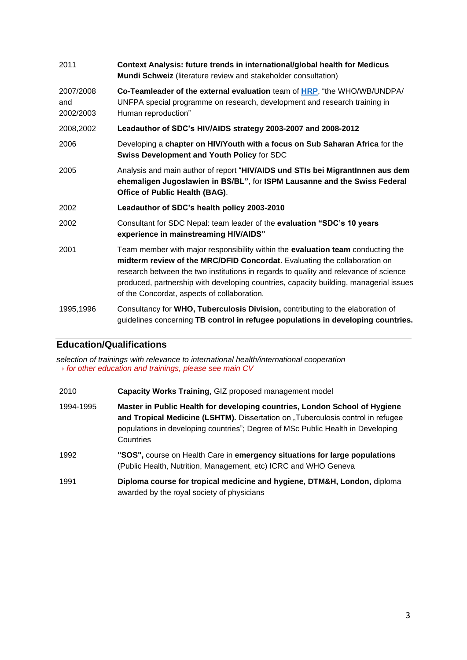| 2011                          | Context Analysis: future trends in international/global health for Medicus<br>Mundi Schweiz (literature review and stakeholder consultation)                                                                                                                                                                                                                                                 |
|-------------------------------|----------------------------------------------------------------------------------------------------------------------------------------------------------------------------------------------------------------------------------------------------------------------------------------------------------------------------------------------------------------------------------------------|
| 2007/2008<br>and<br>2002/2003 | Co-Teamleader of the external evaluation team of <b>HRP</b> , "the WHO/WB/UNDPA/<br>UNFPA special programme on research, development and research training in<br>Human reproduction"                                                                                                                                                                                                         |
| 2008,2002                     | Leadauthor of SDC's HIV/AIDS strategy 2003-2007 and 2008-2012                                                                                                                                                                                                                                                                                                                                |
| 2006                          | Developing a chapter on HIV/Youth with a focus on Sub Saharan Africa for the<br><b>Swiss Development and Youth Policy for SDC</b>                                                                                                                                                                                                                                                            |
| 2005                          | Analysis and main author of report "HIV/AIDS und STIs bei MigrantInnen aus dem<br>ehemaligen Jugoslawien in BS/BL", for ISPM Lausanne and the Swiss Federal<br>Office of Public Health (BAG).                                                                                                                                                                                                |
| 2002                          | Leadauthor of SDC's health policy 2003-2010                                                                                                                                                                                                                                                                                                                                                  |
| 2002                          | Consultant for SDC Nepal: team leader of the evaluation "SDC's 10 years<br>experience in mainstreaming HIV/AIDS"                                                                                                                                                                                                                                                                             |
| 2001                          | Team member with major responsibility within the evaluation team conducting the<br>midterm review of the MRC/DFID Concordat. Evaluating the collaboration on<br>research between the two institutions in regards to quality and relevance of science<br>produced, partnership with developing countries, capacity building, managerial issues<br>of the Concordat, aspects of collaboration. |
| 1995,1996                     | Consultancy for WHO, Tuberculosis Division, contributing to the elaboration of<br>guidelines concerning TB control in refugee populations in developing countries.                                                                                                                                                                                                                           |

## **Education/Qualifications**

*selection of trainings with relevance to international health/international cooperation → for other education and trainings, please see main CV*

| 2010      | Capacity Works Training, GIZ proposed management model                                                                                                                                                                                                        |
|-----------|---------------------------------------------------------------------------------------------------------------------------------------------------------------------------------------------------------------------------------------------------------------|
| 1994-1995 | Master in Public Health for developing countries, London School of Hygiene<br>and Tropical Medicine (LSHTM). Dissertation on "Tuberculosis control in refugee<br>populations in developing countries"; Degree of MSc Public Health in Developing<br>Countries |
| 1992      | "SOS", course on Health Care in emergency situations for large populations<br>(Public Health, Nutrition, Management, etc) ICRC and WHO Geneva                                                                                                                 |
| 1991      | Diploma course for tropical medicine and hygiene, DTM&H, London, diploma<br>awarded by the royal society of physicians                                                                                                                                        |